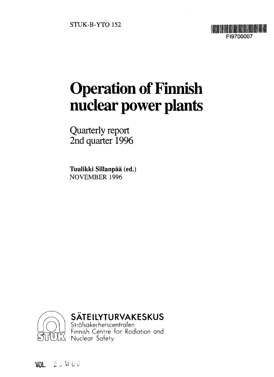

# Operation of Finnish nuclear power plants

Quarterly report 2nd quarter 1996

Tuulikki Sillanpää (ed.) NOVEMBER 1996



### **SATEILYTURVAKESKUS**

Stralsdkerhetscentralen Finnish Cenfre for Radiation and Nuclear Safety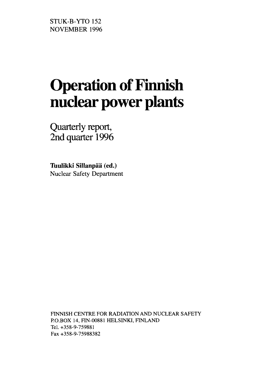STUK-B-YTO 152 NOVEMBER 1996

# Operation of Finnish nuclear power plants

Quarterly report, 2nd quarter 1996

Tuulikki Sillanpää (ed.) Nuclear Safety Department

FINNISH CENTRE FOR RADIATION AND NUCLEAR SAFETY P.O.BOX 14, FIN-00881 HELSINKI, FINLAND Tel.+358-9-759881 Fax +358-9-75988382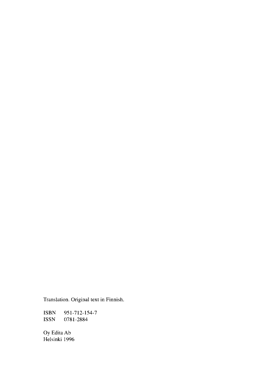Translation. Original text in Finnish.

ISBN 951-712-154-7<br>ISSN 0781-2884 0781-2884

Oy Edita Ab Helsinki 1996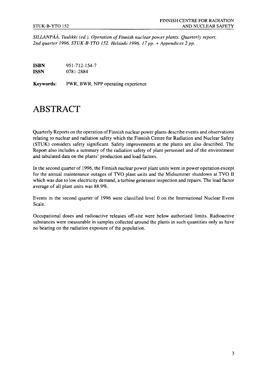*SILLANPAA, Tuulikki (ed.). Operation of Finnish nuclear power plants. Quarterly report, 2nd quarter 1996. STUK-B-YTO 152. Helsinki 1996. 17pp. + Appendices 2 pp.*

**ISBN** 951-712-154-7 **ISSN** 0781-2884

**Keywords:** PWR, BWR, NPP operating experience

# ABSTRACT

Quarterly Reports on the operation of Finnish nuclear power plants describe events and observations relating to nuclear and radiation safety which the Finnish Centre for Radiation and Nuclear Safety (STUK) considers safety significant. Safety improvements at the plants are also described. The Report also includes a summary of the radiation safety of plant personnel and of the environment and tabulated data on the plants' production and load factors.

In the second quarter of 1996, the Finnish nuclear power plant units were in power operation except for the annual maintenance outages of TVO plant units and the Midsummer shutdown at TVO II which was due to low electricity demand, a turbine generator inspection and repairs. The load factor average of all plant units was 88.9%.

Events in the second quarter of 1996 were classified level 0 on the International Nuclear Event Scale.

Occupational doses and radioactive releases off-site were below authorised limits. Radioactive substances were measurable in samples collected around the plants in such quantities only as have no bearing on the radiation exposure of the population.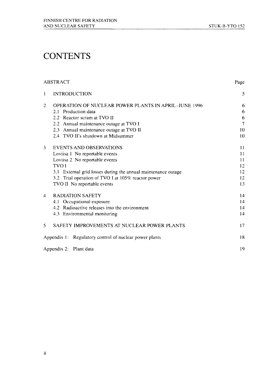# **CONTENTS**

#### ABSTRACT Page

| $\mathbf{1}$ | <b>INTRODUCTION</b>                                           | 5              |
|--------------|---------------------------------------------------------------|----------------|
| 2            | <b>OPERATION OF NUCLEAR POWER PLANTS IN APRIL-JUNE 1996</b>   | 6              |
|              | 2.1 Production data                                           | 6              |
|              | 2.2 Reactor scram at TVO II                                   | 6              |
|              | 2.2 Annual maintenance outage at TVO I                        | $\overline{7}$ |
|              | 2.3 Annual maintenance outage at TVO II                       | 10             |
|              | 2.4 TVO II's shutdown at Midsummer                            | 10             |
| 3            | <b>EVENTS AND OBSERVATIONS</b>                                | 11             |
|              | Loviisa 1 No reportable events                                | 11             |
|              | Loviisa 2 No reportable events                                | 11             |
|              | <b>TVOI</b>                                                   | 12             |
|              | 3.1 External grid losses during the annual maintenance outage | 12             |
|              | 3.2 Trial operation of TVO I at 105% reactor power            | 12             |
|              | TVO II No reportable events                                   | 13             |
| 4            | <b>RADIATION SAFETY</b>                                       | 14             |
|              | 4.1 Occupational exposure                                     | 14             |
|              | 4.2 Radioactive releases into the environment                 | 14             |
|              | 4.3 Environmental monitoring                                  | 14             |
| 5.           | SAFETY IMPROVEMENTS AT NUCLEAR POWER PLANTS                   | 17             |
|              | Appendix 1: Regulatory control of nuclear power plants        | 18             |
|              | Appendix 2: Plant data                                        | 19             |
|              |                                                               |                |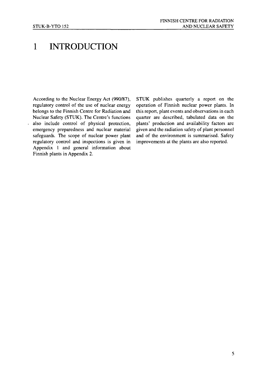# 1 INTRODUCTION

According to the Nuclear Energy Act (990/87), STUK publishes quarterly a report on the regulatory control of the use of nuclear energy operation of Finnish nuclear power plants. In belongs to the Finnish Centre for Radiation and this report, plant events and observations in each Nuclear Safety (STUK). The Centre's functions quarter are described, tabulated data on the also include control of physical protection, plants' production and availability factors are emergency preparedness and nuclear material given and the radiation safety of plant personnel emergency preparedness and nuclear material safeguards. The scope of nuclear power plant and of the environment is summarised. Safety regulatory control and inspections is given in improvements at the plants are also reported. Appendix 1 and general information about Finnish plants in Appendix 2.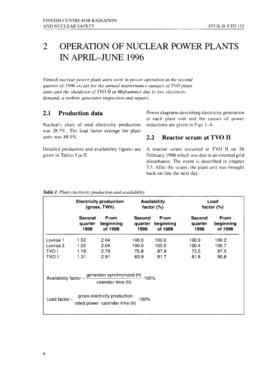#### $\overline{2}$ OPERATION OF NUCLEAR POWER PLANTS IN APRIL-JUNE 1996

*Finnish nuclear power plant units were in power operation in the second quarter of 1996 except for the annual maintenance outages ofTVO plant units and the shutdown ofTVO II at Midsummer due to low electricity demand, a turbine generator inspection and repairs.*

#### 2.1 Production data

Nuclear's share of total electricity production was 28.7%. The load factor average the plant units was 88.9%.

Detailed production and availability figures are given in Tables I ja II.

Power diagrams describing electricity generation at each plant unit and the causes of power reductions are given in Figs 1—4.

#### 2.2 Reactor scram at TVO II

A reactor scram occurred at TVO II on 26 February 1996 which was due to an external grid disturbance. The event is described in chapter 3.3. After the scram, the plant unit was brought back on-line the next day.

|                                                                                           | <b>Electricity production</b> |             | <b>Availability</b> |             | Load          |             |
|-------------------------------------------------------------------------------------------|-------------------------------|-------------|---------------------|-------------|---------------|-------------|
|                                                                                           | (gross, TWh)                  |             | factor $(\%)$       |             | factor $(\%)$ |             |
|                                                                                           | Second                        | <b>From</b> | Second              | <b>From</b> | Second        | <b>From</b> |
|                                                                                           | quarter                       | beginning   | quarter             | beginning   | quarter       | beginning   |
|                                                                                           | 1996                          | of 1996     | 1996                | of 1996     | 1996          | of 1996     |
| Loviisa 1                                                                                 | 1.02                          | 2.04        | 100.0               | 100.0       | 100.0         | 100.2       |
| Loviisa 2                                                                                 | 1.02                          | 2.04        | 100.0               | 100.0       | 100.4         | 100.7       |
| TVO I                                                                                     | 1.18                          | 2.79        | 75.8                | 87.9        | 73.5          | 87.0        |
| TVO II                                                                                    | 1.31                          | 2.91        | 83.9                | 91.7        | 81.8          | 90.8        |
| Availability factor = $\frac{1}{2}$ generator synchronized (h) 100%<br>calendar time (h)  |                               |             |                     |             |               |             |
| gross electricity production<br>.100%<br>Load factor $=$<br>rated power calendar time (h) |                               |             |                     |             |               |             |

*Table I. Plant electricity production and availability.*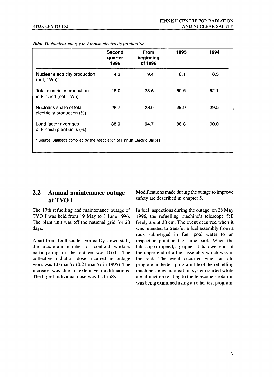|                                                                                 | <b>Second</b><br>quarter<br>1996 | <b>From</b><br>beginning<br>of 1996 | 1995 | 1994 |
|---------------------------------------------------------------------------------|----------------------------------|-------------------------------------|------|------|
| Nuclear electricity production<br>(net, TWh) <sup>-</sup>                       | 4.3                              | 9.4                                 | 18.1 | 18.3 |
| Total electricity production<br>in Finland (net, TWh)                           | 15.0                             | 33.6                                | 60.6 | 62.1 |
| Nuclear's share of total<br>electricity production (%)                          | 28.7                             | 28.0                                | 29.9 | 29.5 |
| Load factor averages<br>of Finnish plant units (%)                              | 88.9                             | 94.7                                | 88.8 | 90.0 |
| * Source: Statistics compiled by the Association of Finnish Electric Utilities. |                                  |                                     |      |      |

#### Table II. Nuclear energy in Finnish electricity production.

#### 2.2 Annual maintenance outage at TVO I

The 17th refuelling and maintenance outage of TVO I was held from 19 May to 8 June 1996. The plant unit was off the national grid for 20 days.

Apart from Teollisuuden Voima Oy's own staff, the maximum number of contract workers participating in the outage was 1060. The collective radiation dose incurred in outage work was 1.0 manSv (0.21 manSv in 1995). The increase was due to extensive modifications. The higest individual dose was 11.1 mSv.

Modifications made during the outage to improve safety are described in chapter 5.

In fuel inspections during the outage, on 28 May 1996, the refuelling machine's telescope fell freely about 30 cm. The event occurred when it was intended to transfer a fuel assembly from a rack submerged in fuel pool water to an inspection point in the same pool. When the telescope dropped, a gripper at its lower end hit the upper end of a fuel assembly which was in the rack The event occurred when an old program in the test program file of the refuelling machine's new automation system started while a malfunction relating to the telescope's rotation was being examined using an other test program.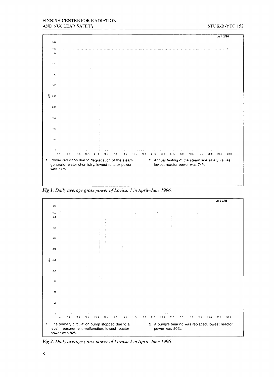

*Fig 1. Daily average gross power of Loviisa I in April-June 1996.*



*Fig 2. Daily average gross power of Loviisa 2 in April-June 1996.*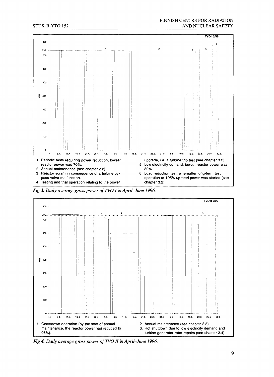

*Fig 3. Daily average gross power ofTVO I in April-June 1996.*



*Fig* 4. Daily average gross power of TVO II in April-June 1996.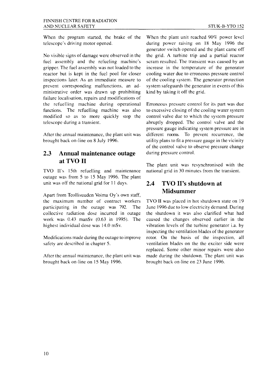When the program started, the brake of the telescope's driving motor opened.

No visible signs of damage were observed in the fuel assembly and the refueling machine's gripper. The fuel assembly was not loaded to the reactor but is kept in the fuel pool for closer inspections later. As an immediate measure to prevent corresponding malfunctions, an administrative order was drawn up prohibiting failure localisation, repairs and modifications of the refuelling machine during operational functions. The refuelling machine was also modified so as to more quickly stop the telescope during a transient.

After the annual maintenance, the plant unit was brought back on-line on 8 July 1996.

#### 2.3 Annual maintenance outage at TVO II

TVO II's 15th refuelling and maintenance outage was from 5 to 15 May 1996. The plant unit was off the national grid for 11 days.

Apart from Teollisuuden Voima Oy's own staff, the maximum number of contract workers participating in the outage was 792. The collective radiation dose incurred in outage work was 0.43 manSv (0.63 in 1995). The highest individual dose was 14.0 mSv.

Modifications made during the outage to improve safety are described in chapter 5.

After the annual maintenance, the plant unit was brought back on-line on 15 May 1996.

When the plant unit reached 90% power level during power raising on 18 May 1996 the generator switch opened and the plant came off the grid. A turbine trip and a partial reactor scram resulted. The transient was caused by an increase in the temperature of the generator cooling water due to erroneous pressure control of the cooling system. The generator protection system safeguards the generator in events of this kind by taking it off the grid.

Erroneous pressure control for its part was due to excessive closing of the cooling water system control valve due to which the system pressure abruptly dropped. The control valve and the pressure gauge indicating system pressure are in different rooms. To prevent recurrence, the utility plans to fit a pressure gauge in the vicinity of the control valve to observe pressure change during pressure control.

The plant unit was resynchronised with the national grid in 30 minutes from the transient.

#### 2.4 TVO II's shutdown at Midsummer

TVO II was placed in hot shutdown state on 19 June 1996 due to low electricity demand. During the shutdown it was also clarified what had caused the changes observed earlier in the vibration levels of the turbine generator i.a. by inspecting the ventilation blades of the generator rotor. On the basis of the inspection, all ventilation blades on the the exciter side were replaced. Some other minor repairs were also made during the shutdown. The plant unit was brought back on-line on 23 June 1996.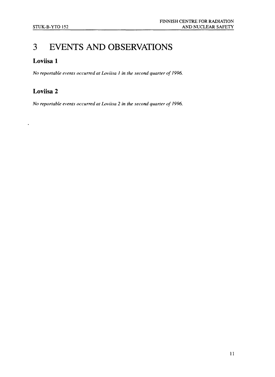# 3 EVENTS AND OBSERVATIONS

#### Loviisa 1

*No reportable events occurred at Loviisa 1 in the second quarter of 1996.*

### Loviisa 2

 $\ddot{\phantom{0}}$ 

*No reportable events occurred at Loviisa 2 in the second quarter of 1996.*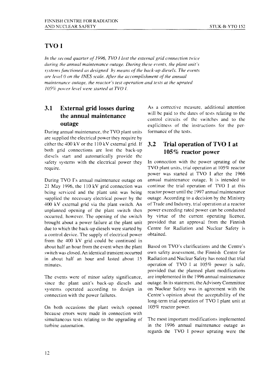#### TVOI

*In the second quarter of 1996, TVO I lost the external grid connection twice during the annual maintenance outage. During these events, the plant unit's systems functioned as designed by means of the back-up diesels. The events are level 0 on the INES scale. After the accomplishment of the annual maintenance outage, the reactor's test operation and tests at the uprated 105% power level were started at TVO I.*

#### 3.1 External grid losses during the annual maintenance outage

During annual maintenance, the TVO plant units arc supplied the electrical power they require by cither the 400 kV or the 110 kV external grid. If both grid connections are lost the back-up diescls start and automatically provide the safety systems with the electrical power they require.

During TVO I's annual maintenance outage on 21 May 1996, the 110 kV grid connection was being serviced and the plant unit was being supplied the necessary electrical power by the 400 kV external grid via the plant switch. An unplanned opening of the plant switch then occurred, however. The opening of the switch brought about a power failure at the plant unit due to which the back-up diesels were started by a control device. The supply of electrical power from the 400 kV grid could be continued in about half an hour from the event when the plant switch was closed. An identical transient occurred in about half an hour and lasted about 15 minutes.

The events were of minor safety significance, since the plant unit's back-up diesels and systems operated according to design in connection with the power failures.

On both occasions the plant switch opened because errors were made in connection with simultaneous tests relating to the upgrading of turbine automation.

As a corrective measure, additional attention will be paid to the dates of tests relating to the control circuits of the switches and to the explicitness of the instructions for the performance of the tests.

#### 3.2 Trial operation of TVO I at 105% reactor power

In connection with the power uprating of the TVO plant units, trial operation at 105% reactor power was started at TVO I after the 1966 annual maintenance outage. It is intended to continue the trial operation of TVO I at this reactor power until the 1997 annual maintenance outage. According to a decision by the Ministry of Trade and Industry, trial operation at a reactor power exceeding rated power can be conducted by virtue of the current operating licence, provided that an approval from the Finnish Centre for Radiation and Nuclear Safety is obtained.

Based on TVO's clarifications and the Centre's own safety assessment, the Finnish Centre for Radiation and Nuclear Safety has noted that trial operation of TVO I at 105% power is safe, provided that the planned plant modifications are implemented in the 1996 annual maintenance outage. In its statement, the Advisory Committee on Nuclear Safety was in agreement with the Centre's opinion about the acceptability of the long-term trial operation of TVO I plant unit at 105% reactor power.

The most important modifications implemented in the 1996 annual maintenance outage as regards the TVO I power uprating were the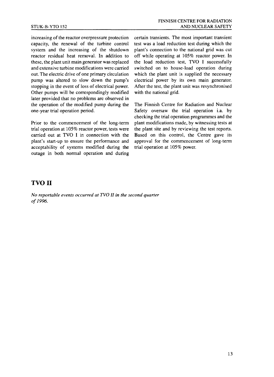increasing of the reactor overpressure protection capacity, the renewal of the turbine control system and the increasing of the shutdown reactor residual heat removal. In addition to these, the plant unit main generator was replaced and extensive turbine modifications were carried out. The electric drive of one primary circulation pump was altered to slow down the pump's stopping in the event of loss of electrical power. Other pumps will be correspondingly modified later provided that no problems are observed in the operation of the modified pump during the one-year trial operation period.

Prior to the commencement of the long-term trial operation at 105% reactor power, tests were carried out at TVO I in connection with the plant's start-up to ensure the performance and acceptability of systems modified during the outage in both normal operation and during certain transients. The most important transient test was a load reduction test during which the plant's connection to the national grid was cut off while operating at 105% reactor power. In the load reduction test, TVO I successfully switched on to house-load operation during which the plant unit is supplied the necessary electrical power by its own main generator. After the test, the plant unit was resynchronised with the national grid.

The Finnish Centre for Radiation and Nuclear Safety oversaw the trial operation i.a. by checking the trial operation programmes and the plant modifications made, by witnessing tests at the plant site and by reviewing the test reports. Based on this control, the Centre gave its approval for the commencement of long-term trial operation at 105% power.

#### TVO II

*No reportable events occurred at TVO II in the second quarter of 1996.*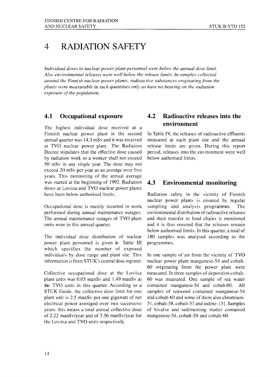# 4 RADIATION SAFETY

*Individual doses to nuclear power plant personnel were below the annual dose limit. Also environmental releases were well below the release limits. In samples collected around the Finnish nuclear power plants, radioactive substances originating from the plants were measurable in such quantities only as have no bearing on the radiation exposure of the population.*

#### 4.1 Occupational exposure

The highest individual dose received at a Finnish nuclear power plant in the second annual quarter was 14.3 mSv and it was received at TVO nuclear power plant. The Radiation Decree stipulates that the effective dose caused by radiation work to a worker shall not exceed 50 mSv in any single year. The dose may not exceed 20 mSv per year as an average over five years. This monitoring of the annual average was started at the beginning of 1992. Radiation doses at Loviisa and TVO nuclear power plants have been below authorised limits.

Occupational dose is mainly incurred in work performed during annual maintenance outages. The annual maintenance outages of TVO plant units were in this annual quarter.

The individual dose distribution of nuclear power plant personnel is given in Table III which specifies the number of exposed individuals by dose range and plant site. This information is from STUK's central dose register.

Collective occupational dose at the Loviisa plant units was 0.03 manSv and 1.49 manSv at the TVO units in this quarter. According to a STUK Guide, the collective dose limit for one plant unit is 2.5 manSv per one gigawatt of net electrical power averaged over two successive years; this means a total annual collective dose of 2.22 manSv/year and of 3.56 manSv/year for the Loviisa and TVO units respectively.

#### 4.2 Radioactive releases into the environment

In Table IV, the releases of radioactive effluents measured at each plant site and the annual release limits are given. During this report period, releases into the environment were well below authorised limits.

#### 4.3 Environmental monitoring

Radiation safety in the vicinity of Finnish nuclear power plants is ensured by regular sampling and analysis programmes. The environmental distribution of radioactive releases and their transfer to food chains is monitored and it is thus ensured that the releases remain below authorised limits. In this quarter, a total of 180 samples was analysed according to the programmes.

In one sample of air from the vicinity of TVO nuclear power plant manganese-54 and cobalt-60 originating from the power plant were measured. In three samples of deposition cobalt-60 was measured. One sample of sea water contained manganese-54 and cobalt-60. All samples of seaweed contained manganese-54 and cobalt-60 and some of them also chromium-51, cobalt-58, cobalt-57 and iodine-131. Samples of bivalve and sedimenting matter contained manganese-54, cobalt-58 and cobalt-60.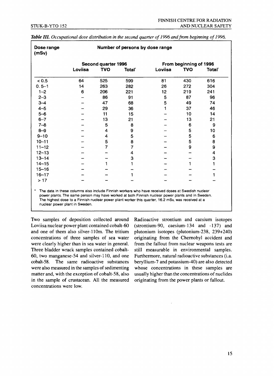| Dose range<br>(mSv) |                     |     | Number of persons by dose range |                        |            |                    |
|---------------------|---------------------|-----|---------------------------------|------------------------|------------|--------------------|
|                     | Second quarter 1996 |     |                                 | From beginning of 1996 |            |                    |
|                     | Loviisa             | TVO | Total'                          | Loviisa                | <b>TVO</b> | Total <sup>'</sup> |
| < 0.5               | 64                  | 525 | 599                             | 81                     | 430        | 616                |
| $0.5 - 1$           | 14                  | 263 | 282                             | 26                     | 272        | 304                |
| $1 - 2$             | 6                   | 206 | 221                             | 12                     | 219        | 241                |
| $2 - 3$             |                     | 86  | 91                              | 5                      | 87         | 96                 |
| $3 - 4$             |                     | 47  | 68                              | 5                      | 49         | 74                 |
| $4 - 5$             |                     | 29  | 36                              | 1                      | 37         | 46                 |
| $5 - 6$             |                     | 11  | 15                              |                        | 10         | 14                 |
| $6 - 7$             |                     | 13  | 21                              |                        | 13         | 21                 |
| $7 - 8$             |                     | 5   | 8                               |                        | 6          | 9                  |
| $8 - 9$             |                     | 4   | 9                               |                        | 5          | 10                 |
| $9 - 10$            |                     | 4   | 5                               |                        | 5          | 6                  |
| $10 - 11$           |                     | 5   | 8                               |                        | 5          | 8                  |
| $11 - 12$           |                     | 7   | 7                               |                        | 9          | 9                  |
| $12 - 13$           |                     |     | 4                               |                        |            | 4                  |
| $13 - 14$           |                     |     | 3                               |                        |            | 3                  |
| $14 - 15$           |                     |     |                                 |                        |            |                    |
| $15 - 16$           |                     |     |                                 |                        |            |                    |
| $16 - 17$           |                     |     |                                 |                        |            | 1                  |
| >17                 |                     |     |                                 |                        |            |                    |

| Table III. Occupational dose distribution in the second quarter of 1996 and from beginning of 1996. |  |
|-----------------------------------------------------------------------------------------------------|--|
|-----------------------------------------------------------------------------------------------------|--|

The highest dose to a Finnish nuclear power plant worker this quarter, 16.2 mSv, was received at a nuclear power plant in Sweden.

Two samples of deposition collected around Loviisa nuclear power plant contained cobalt-60 and one of them also silver-110m. The tritium concentrations of three samples of sea water were clearly higher than in sea water in general. Three bladder wrack samples contained cobalt-60, two manganese-54 and silver-110, and one cobalt-58. The same radioactive substances were also measured in the samples of sedimenting matter and, with the exception of cobalt-58, also in the sample of crustacean. All the measured concentrations were low.

Radioactive strontium and caesium isotopes (strontium-90, caesium-134 and -137) and plutonium isotopes (plutonium-238, 239+240) originating from the Chernobyl accident and from the fallout from nuclear weapons tests are still measurable in environmental samples. Furthermore, natural radioactive substances (i.a. beryllium-7 and potassium-40) are also detected whose concentrations in these samples are usually higher than the concentrations of nuclides originating from the power plants or fallout.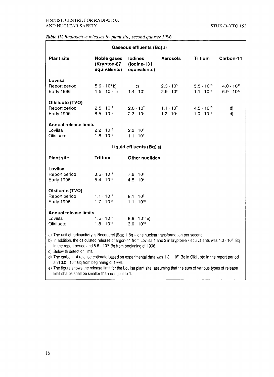#### *Table IV. Radioactive releases by plant site, second quarter 1996.*

| Gaseous effluents (Bq) a)                                                                                                                                                                                                                                                                                                                                                                                                                                                                                           |                                               |                                               |                                          |                                            |                                            |  |
|---------------------------------------------------------------------------------------------------------------------------------------------------------------------------------------------------------------------------------------------------------------------------------------------------------------------------------------------------------------------------------------------------------------------------------------------------------------------------------------------------------------------|-----------------------------------------------|-----------------------------------------------|------------------------------------------|--------------------------------------------|--------------------------------------------|--|
| <b>Plant site</b>                                                                                                                                                                                                                                                                                                                                                                                                                                                                                                   | Noble gases<br>(Krypton-87<br>equivalents)    | <b>lodines</b><br>(Iodine-131<br>equivalents) | Aerosols                                 | <b>Tritium</b>                             | Carbon-14                                  |  |
| Loviisa<br>Report period<br>Early 1996                                                                                                                                                                                                                                                                                                                                                                                                                                                                              | $5.9 \cdot 10^9$ b)<br>$1.5 \cdot 10^{10}$ b) | C)<br>$1.4 \cdot 10^{4}$                      | $2.3 \cdot 10^{5}$<br>$2.9 \cdot 10^{6}$ | $5.5 \cdot 10^{10}$<br>$1.1 \cdot 10^{11}$ | $4.0 \cdot 10^{10}$<br>$6.9 \cdot 10^{10}$ |  |
| Olkiluoto (TVO)<br>Report period<br>Early 1996                                                                                                                                                                                                                                                                                                                                                                                                                                                                      | $2.5 \cdot 10^{12}$<br>$8.5 \cdot 10^{12}$    | $2.0 \cdot 10^{7}$<br>$2.3 \cdot 10^{7}$      | $1.1 \cdot 10^{7}$<br>$1.2 \cdot 10^{7}$ | $4.5 \cdot 10^{10}$<br>$1.0 \cdot 10^{11}$ | d)<br>d)                                   |  |
| <b>Annual release limits</b><br>Loviisa<br>Olkiluoto                                                                                                                                                                                                                                                                                                                                                                                                                                                                | $2.2 \cdot 10^{16}$<br>$1.8 \cdot 10^{16}$    | $2.2 \cdot 10^{11}$<br>$1.1 \cdot 10^{11}$    |                                          |                                            |                                            |  |
| Liquid effluents (Bq) a)                                                                                                                                                                                                                                                                                                                                                                                                                                                                                            |                                               |                                               |                                          |                                            |                                            |  |
| <b>Plant site</b>                                                                                                                                                                                                                                                                                                                                                                                                                                                                                                   | <b>Tritium</b>                                | Other nuclides                                |                                          |                                            |                                            |  |
| Loviisa<br>Report period<br><b>Early 1996</b>                                                                                                                                                                                                                                                                                                                                                                                                                                                                       | $3.5 \cdot 10^{12}$<br>$5.4 \cdot 10^{12}$    | $7.6 \cdot 10^{5}$<br>$4.5 \cdot 10^{7}$      |                                          |                                            |                                            |  |
| Olkiluoto (TVO)<br>Report period<br>Early 1996                                                                                                                                                                                                                                                                                                                                                                                                                                                                      | $1.1 \cdot 10^{12}$<br>$1.7 \cdot 10^{12}$    | $8.1 \cdot 10^{9}$<br>$1.1 \cdot 10^{10}$     |                                          |                                            |                                            |  |
| <b>Annual release limits</b><br>Loviisa<br>Olkiluoto                                                                                                                                                                                                                                                                                                                                                                                                                                                                | $1.5 \cdot 10^{14}$<br>$1.8 \cdot 10^{13}$    | $8.9 \cdot 10^{11}$ e)<br>$3.0 \cdot 10^{10}$ |                                          |                                            |                                            |  |
| a) The unit of radioactivity is Becquerel (Bq); $1$ Bq = one nuclear transformation per second.<br>b) In addition, the calculated release of argon-41 from Loviisa 1 and 2 in krypton-87 equivalents was 4.3 · 10" Bq<br>in the report period and $8.6 \cdot 10^{12}$ Bq from beginning of 1996.<br>c) Below th detection limit.<br>d) The carbon-14 release-estimate based on experimental data was $1.3 \cdot 10^{11}$ Bq in Olkiluoto in the report period<br>and $3.0 \cdot 10^{11}$ Bq from beginning of 1996. |                                               |                                               |                                          |                                            |                                            |  |

e) The figure shows the release limit for the Loviisa plant site, assuming that the sum of various types of release limit shares shall be smaller than or equal to 1.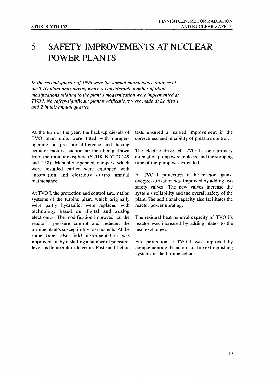# 5 SAFETY IMPROVEMENTS AT NUCLEAR POWER PLANTS

*In the second quarter of 1996 were the annual maintenance outages of the TVO plant units during which a considerable number of plant modifications relating to the plant's modernisation were implemented at TVO I. No safety-significant plant modifications were made at Loviisa 1 and 2 in this annual quarter.*

At the turn of the year, the back-up diesels of TVO plant units were fitted with dampers opening on pressure difference and having actuator motors, suction air then being drawn from the room atmosphere (STUK-B-YTO 149 and 150). Manually operated dampers which were installed earlier were equipped with automation and eletricity during annual maintenance.

At TVO I, the protection and control automation systems of the turbine plant, which originally were partly hydraulic, were replaced with technology based on digital and analog electronics. The modification improved i.a. the reactor's pressure control and reduced the turbine plant's susceptibility to transients. At the same time, also field instrumentation was improved i.a. by installing a number of pressure, level and temperature detectors. Post-modifiction tests ensured a marked improvement in the correctness and reliability of pressure control.

The electric drives of TVO I's one primary circulation pump were replaced and the stopping time of the pump was extended.

At TVO I, protection of the reactor against overpressurisation was improved by adding two safety valves. The new valves increase the system's reliability and the overall safety of the plant. The additional capacity also facilitates the reactor power uprating.

The residual heat removal capacity of TVO I's reactor was increased by adding plates to the heat exchangers.

Fire protection at TVO I was improved by complementing the automatic fire extinguishing systems in the turbine cellar.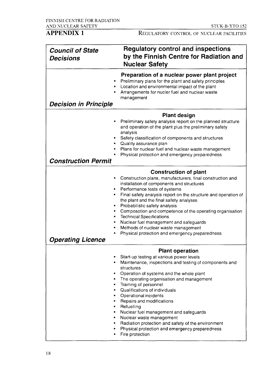REGULATORY CONTROL OF NUCLEAR FACILITIES

| <b>Council of State</b><br><b>Decisions</b>                              | <b>Regulatory control and inspections</b><br>by the Finnish Centre for Radiation and<br><b>Nuclear Safety</b>                                                                                                                                                                                                                                                                                                                                                                                                                                                      |
|--------------------------------------------------------------------------|--------------------------------------------------------------------------------------------------------------------------------------------------------------------------------------------------------------------------------------------------------------------------------------------------------------------------------------------------------------------------------------------------------------------------------------------------------------------------------------------------------------------------------------------------------------------|
| ٠<br><b>Decision in Principle</b>                                        | Preparation of a nuclear power plant project<br>Preliminary plans for the plant and safety principles<br>Location and environmental impact of the plant<br>Arrangements for nucler fuel and nuclear waste<br>management                                                                                                                                                                                                                                                                                                                                            |
| ٠<br>$\bullet$<br>٠<br><b>Construction Permit</b>                        | <b>Plant design</b><br>Preliminary safety analysis report on the planned structure<br>and operation of the plant plus the preliminary safety<br>analysis<br>Safety classification of components and structures<br>Quality assurance plan<br>Plans for nuclear fuel and nuclear waste management<br>Physical protection and emergency preparedness                                                                                                                                                                                                                  |
| ٠<br>٠<br>٠<br>٠<br>۰<br>٠<br>۰<br>۰<br>۰<br><b>Operating Licence</b>    | <b>Construction of plant</b><br>Construction plans, manufacturers, final construction and<br>installation of components and structures<br>Performance tests of systems<br>Final safety analysis report on the structure and operation of<br>the plant and the final safety analyses<br>Probabilistic safety analysis<br>Composotion and competence of the operating organisation<br><b>Technical Specifications</b><br>Nuclear fuel management and safeguards<br>Methods of nuclear waste management<br>Physical protection and emergency preparedness             |
| ٠<br>٠<br>٠<br>٠<br>$\bullet$<br>٠<br>٠<br>$\bullet$<br>٠<br>٠<br>٠<br>٠ | <b>Plant operation</b><br>Start-up testing at various power levels<br>Maintenance, inspections and testing of components and<br>structures<br>Operation of systems and the whole plant<br>The operating organisation and management<br>Training of personnel<br>Qualifications of individuals<br>Operational incidents<br>Repairs and modifications<br>Refuelling<br>Nuclear fuel management and safeguards<br>Nuclear waste management<br>Radiation protection and safety of the environment<br>Physical protection and emergency preparedness<br>Fire protection |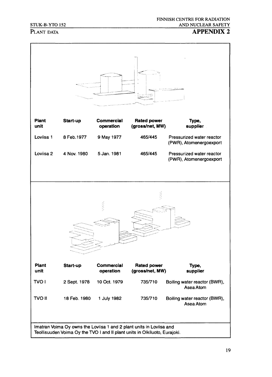#### STUK-B-YTO 152